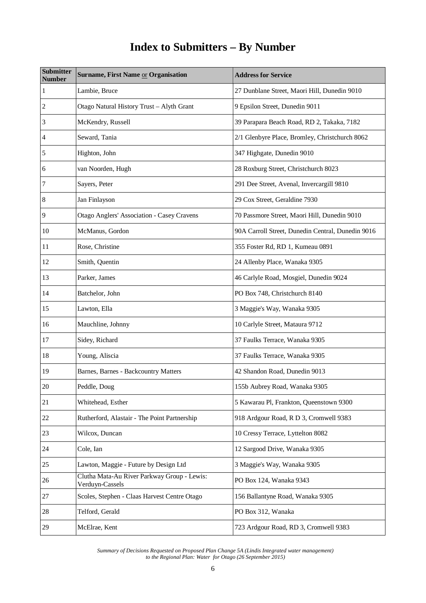## **Index to Submitters – By Number**

| <b>Submitter</b><br><b>Number</b> | Surname, First Name or Organisation                            | <b>Address for Service</b>                        |
|-----------------------------------|----------------------------------------------------------------|---------------------------------------------------|
| $\mathbf{1}$                      | Lambie, Bruce                                                  | 27 Dunblane Street, Maori Hill, Dunedin 9010      |
| $\overline{c}$                    | Otago Natural History Trust - Alyth Grant                      | 9 Epsilon Street, Dunedin 9011                    |
| 3                                 | McKendry, Russell                                              | 39 Parapara Beach Road, RD 2, Takaka, 7182        |
| $\overline{4}$                    | Seward, Tania                                                  | 2/1 Glenbyre Place, Bromley, Christchurch 8062    |
| 5                                 | Highton, John                                                  | 347 Highgate, Dunedin 9010                        |
| 6                                 | van Noorden, Hugh                                              | 28 Roxburg Street, Christchurch 8023              |
| 7                                 | Sayers, Peter                                                  | 291 Dee Street, Avenal, Invercargill 9810         |
| 8                                 | Jan Finlayson                                                  | 29 Cox Street, Geraldine 7930                     |
| 9                                 | Otago Anglers' Association - Casey Cravens                     | 70 Passmore Street, Maori Hill, Dunedin 9010      |
| 10                                | McManus, Gordon                                                | 90A Carroll Street, Dunedin Central, Dunedin 9016 |
| 11                                | Rose, Christine                                                | 355 Foster Rd, RD 1, Kumeau 0891                  |
| 12                                | Smith, Quentin                                                 | 24 Allenby Place, Wanaka 9305                     |
| 13                                | Parker, James                                                  | 46 Carlyle Road, Mosgiel, Dunedin 9024            |
| 14                                | Batchelor, John                                                | PO Box 748, Christchurch 8140                     |
| 15                                | Lawton, Ella                                                   | 3 Maggie's Way, Wanaka 9305                       |
| 16                                | Mauchline, Johnny                                              | 10 Carlyle Street, Mataura 9712                   |
| 17                                | Sidey, Richard                                                 | 37 Faulks Terrace, Wanaka 9305                    |
| 18                                | Young, Aliscia                                                 | 37 Faulks Terrace, Wanaka 9305                    |
| 19                                | Barnes, Barnes - Backcountry Matters                           | 42 Shandon Road, Dunedin 9013                     |
| $20\,$                            | Peddle, Doug                                                   | 155b Aubrey Road, Wanaka 9305                     |
| 21                                | Whitehead, Esther                                              | 5 Kawarau Pl, Frankton, Queenstown 9300           |
| 22                                | Rutherford, Alastair - The Point Partnership                   | 918 Ardgour Road, R D 3, Cromwell 9383            |
| 23                                | Wilcox, Duncan                                                 | 10 Cressy Terrace, Lyttelton 8082                 |
| 24                                | Cole, Ian                                                      | 12 Sargood Drive, Wanaka 9305                     |
| 25                                | Lawton, Maggie - Future by Design Ltd                          | 3 Maggie's Way, Wanaka 9305                       |
| 26                                | Clutha Mata-Au River Parkway Group - Lewis:<br>Verduyn-Cassels | PO Box 124, Wanaka 9343                           |
| $27\,$                            | Scoles, Stephen - Claas Harvest Centre Otago                   | 156 Ballantyne Road, Wanaka 9305                  |
| $28\,$                            | Telford, Gerald                                                | PO Box 312, Wanaka                                |
| 29                                | McElrae, Kent                                                  | 723 Ardgour Road, RD 3, Cromwell 9383             |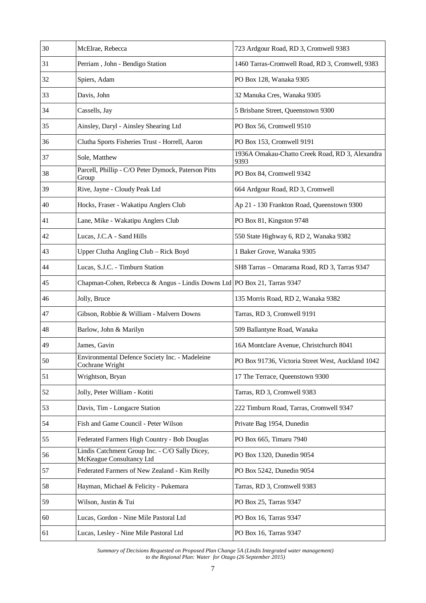| 30 | McElrae, Rebecca                                                           | 723 Ardgour Road, RD 3, Cromwell 9383                   |
|----|----------------------------------------------------------------------------|---------------------------------------------------------|
| 31 | Perriam, John - Bendigo Station                                            | 1460 Tarras-Cromwell Road, RD 3, Cromwell, 9383         |
| 32 | Spiers, Adam                                                               | PO Box 128, Wanaka 9305                                 |
| 33 | Davis, John                                                                | 32 Manuka Cres, Wanaka 9305                             |
| 34 | Cassells, Jay                                                              | 5 Brisbane Street, Queenstown 9300                      |
| 35 | Ainsley, Daryl - Ainsley Shearing Ltd                                      | PO Box 56, Cromwell 9510                                |
| 36 | Clutha Sports Fisheries Trust - Horrell, Aaron                             | PO Box 153, Cromwell 9191                               |
| 37 | Sole, Matthew                                                              | 1936A Omakau-Chatto Creek Road, RD 3, Alexandra<br>9393 |
| 38 | Parcell, Phillip - C/O Peter Dymock, Paterson Pitts<br>Group               | PO Box 84, Cromwell 9342                                |
| 39 | Rive, Jayne - Cloudy Peak Ltd                                              | 664 Ardgour Road, RD 3, Cromwell                        |
| 40 | Hocks, Fraser - Wakatipu Anglers Club                                      | Ap 21 - 130 Frankton Road, Queenstown 9300              |
| 41 | Lane, Mike - Wakatipu Anglers Club                                         | PO Box 81, Kingston 9748                                |
| 42 | Lucas, J.C.A - Sand Hills                                                  | 550 State Highway 6, RD 2, Wanaka 9382                  |
| 43 | Upper Clutha Angling Club - Rick Boyd                                      | 1 Baker Grove, Wanaka 9305                              |
| 44 | Lucas, S.J.C. - Timburn Station                                            | SH8 Tarras - Omarama Road, RD 3, Tarras 9347            |
| 45 | Chapman-Cohen, Rebecca & Angus - Lindis Downs Ltd PO Box 21, Tarras 9347   |                                                         |
| 46 | Jolly, Bruce                                                               | 135 Morris Road, RD 2, Wanaka 9382                      |
| 47 | Gibson, Robbie & William - Malvern Downs                                   | Tarras, RD 3, Cromwell 9191                             |
| 48 | Barlow, John & Marilyn                                                     | 509 Ballantyne Road, Wanaka                             |
| 49 | James, Gavin                                                               | 16A Montclare Avenue, Christchurch 8041                 |
| 50 | Environmental Defence Society Inc. - Madeleine<br>Cochrane Wright          | PO Box 91736, Victoria Street West, Auckland 1042       |
| 51 | Wrightson, Bryan                                                           | 17 The Terrace, Queenstown 9300                         |
| 52 | Jolly, Peter William - Kotiti                                              | Tarras, RD 3, Cromwell 9383                             |
| 53 | Davis, Tim - Longacre Station                                              | 222 Timburn Road, Tarras, Cromwell 9347                 |
| 54 | Fish and Game Council - Peter Wilson                                       | Private Bag 1954, Dunedin                               |
| 55 | Federated Farmers High Country - Bob Douglas                               | PO Box 665, Timaru 7940                                 |
| 56 | Lindis Catchment Group Inc. - C/O Sally Dicey,<br>McKeague Consultancy Ltd | PO Box 1320, Dunedin 9054                               |
| 57 | Federated Farmers of New Zealand - Kim Reilly                              | PO Box 5242, Dunedin 9054                               |
| 58 | Hayman, Michael & Felicity - Pukemara                                      | Tarras, RD 3, Cromwell 9383                             |
| 59 | Wilson, Justin & Tui                                                       | PO Box 25, Tarras 9347                                  |
| 60 | Lucas, Gordon - Nine Mile Pastoral Ltd                                     | PO Box 16, Tarras 9347                                  |
| 61 | Lucas, Lesley - Nine Mile Pastoral Ltd                                     | PO Box 16, Tarras 9347                                  |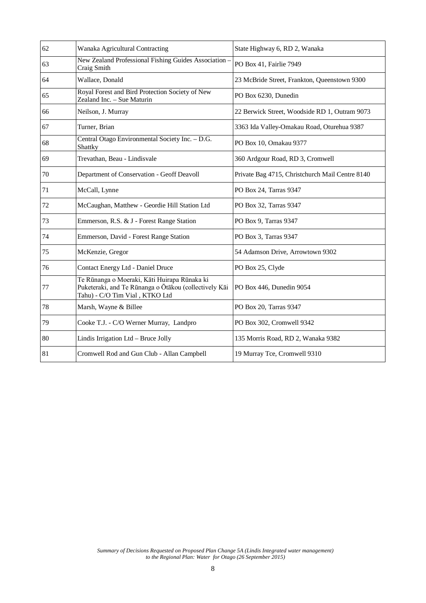| 62 | Wanaka Agricultural Contracting                                                                                                         | State Highway 6, RD 2, Wanaka                   |
|----|-----------------------------------------------------------------------------------------------------------------------------------------|-------------------------------------------------|
| 63 | New Zealand Professional Fishing Guides Association<br>Craig Smith                                                                      | PO Box 41, Fairlie 7949                         |
| 64 | Wallace, Donald                                                                                                                         | 23 McBride Street, Frankton, Queenstown 9300    |
| 65 | Royal Forest and Bird Protection Society of New<br>Zealand Inc. - Sue Maturin                                                           | PO Box 6230, Dunedin                            |
| 66 | Neilson, J. Murray                                                                                                                      | 22 Berwick Street, Woodside RD 1, Outram 9073   |
| 67 | Turner, Brian                                                                                                                           | 3363 Ida Valley-Omakau Road, Oturehua 9387      |
| 68 | Central Otago Environmental Society Inc. - D.G.<br>Shattky                                                                              | PO Box 10, Omakau 9377                          |
| 69 | Trevathan, Beau - Lindisvale                                                                                                            | 360 Ardgour Road, RD 3, Cromwell                |
| 70 | Department of Conservation - Geoff Deavoll                                                                                              | Private Bag 4715, Christchurch Mail Centre 8140 |
| 71 | McCall, Lynne                                                                                                                           | PO Box 24, Tarras 9347                          |
| 72 | McCaughan, Matthew - Geordie Hill Station Ltd                                                                                           | PO Box 32, Tarras 9347                          |
| 73 | Emmerson, R.S. & J - Forest Range Station                                                                                               | PO Box 9, Tarras 9347                           |
| 74 | Emmerson, David - Forest Range Station                                                                                                  | PO Box 3, Tarras 9347                           |
| 75 | McKenzie, Gregor                                                                                                                        | 54 Adamson Drive, Arrowtown 9302                |
| 76 | Contact Energy Ltd - Daniel Druce                                                                                                       | PO Box 25, Clyde                                |
| 77 | Te Rūnanga o Moeraki, Kāti Huirapa Rūnaka ki<br>Puketeraki, and Te Rūnanga o Ōtākou (collectively Kāi<br>Tahu) - C/O Tim Vial, KTKO Ltd | PO Box 446, Dunedin 9054                        |
| 78 | Marsh, Wayne & Billee                                                                                                                   | PO Box 20, Tarras 9347                          |
| 79 | Cooke T.J. - C/O Werner Murray, Landpro                                                                                                 | PO Box 302, Cromwell 9342                       |
| 80 | Lindis Irrigation Ltd - Bruce Jolly                                                                                                     | 135 Morris Road, RD 2, Wanaka 9382              |
| 81 | Cromwell Rod and Gun Club - Allan Campbell                                                                                              | 19 Murray Tce, Cromwell 9310                    |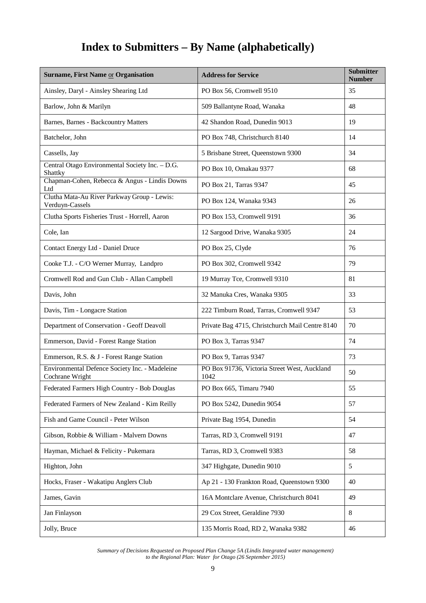## **Index to Submitters – By Name (alphabetically)**

| Surname, First Name or Organisation                               | <b>Address for Service</b>                           | <b>Submitter</b><br><b>Number</b> |
|-------------------------------------------------------------------|------------------------------------------------------|-----------------------------------|
| Ainsley, Daryl - Ainsley Shearing Ltd                             | PO Box 56, Cromwell 9510                             | 35                                |
| Barlow, John & Marilyn                                            | 509 Ballantyne Road, Wanaka                          | 48                                |
| Barnes, Barnes - Backcountry Matters                              | 42 Shandon Road, Dunedin 9013                        | 19                                |
| Batchelor, John                                                   | PO Box 748, Christchurch 8140                        | 14                                |
| Cassells, Jay                                                     | 5 Brisbane Street, Queenstown 9300                   | 34                                |
| Central Otago Environmental Society Inc. - D.G.<br>Shattky        | PO Box 10, Omakau 9377                               | 68                                |
| Chapman-Cohen, Rebecca & Angus - Lindis Downs<br>Ltd              | PO Box 21, Tarras 9347                               | 45                                |
| Clutha Mata-Au River Parkway Group - Lewis:<br>Verduyn-Cassels    | PO Box 124, Wanaka 9343                              | 26                                |
| Clutha Sports Fisheries Trust - Horrell, Aaron                    | PO Box 153, Cromwell 9191                            | 36                                |
| Cole, Ian                                                         | 12 Sargood Drive, Wanaka 9305                        | 24                                |
| Contact Energy Ltd - Daniel Druce                                 | PO Box 25, Clyde                                     | 76                                |
| Cooke T.J. - C/O Werner Murray, Landpro                           | PO Box 302, Cromwell 9342                            | 79                                |
| Cromwell Rod and Gun Club - Allan Campbell                        | 19 Murray Tce, Cromwell 9310                         | 81                                |
| Davis, John                                                       | 32 Manuka Cres, Wanaka 9305                          | 33                                |
| Davis, Tim - Longacre Station                                     | 222 Timburn Road, Tarras, Cromwell 9347              | 53                                |
| Department of Conservation - Geoff Deavoll                        | Private Bag 4715, Christchurch Mail Centre 8140      | 70                                |
| Emmerson, David - Forest Range Station                            | PO Box 3, Tarras 9347                                | 74                                |
| Emmerson, R.S. & J - Forest Range Station                         | PO Box 9, Tarras 9347                                | 73                                |
| Environmental Defence Society Inc. - Madeleine<br>Cochrane Wright | PO Box 91736, Victoria Street West, Auckland<br>1042 | 50                                |
| Federated Farmers High Country - Bob Douglas                      | PO Box 665, Timaru 7940                              | 55                                |
| Federated Farmers of New Zealand - Kim Reilly                     | PO Box 5242, Dunedin 9054                            | 57                                |
| Fish and Game Council - Peter Wilson                              | Private Bag 1954, Dunedin                            | 54                                |
| Gibson, Robbie & William - Malvern Downs                          | Tarras, RD 3, Cromwell 9191                          | 47                                |
| Hayman, Michael & Felicity - Pukemara                             | Tarras, RD 3, Cromwell 9383                          | 58                                |
| Highton, John                                                     | 347 Highgate, Dunedin 9010                           | 5                                 |
| Hocks, Fraser - Wakatipu Anglers Club                             | Ap 21 - 130 Frankton Road, Queenstown 9300           | 40                                |
| James, Gavin                                                      | 16A Montclare Avenue, Christchurch 8041              | 49                                |
| Jan Finlayson                                                     | 29 Cox Street, Geraldine 7930                        | 8                                 |
| Jolly, Bruce                                                      | 135 Morris Road, RD 2, Wanaka 9382                   | 46                                |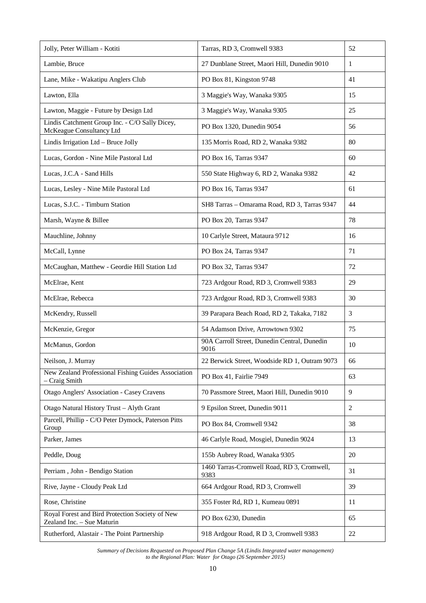| Jolly, Peter William - Kotiti                                                 | Tarras, RD 3, Cromwell 9383                          | 52             |
|-------------------------------------------------------------------------------|------------------------------------------------------|----------------|
| Lambie, Bruce                                                                 | 27 Dunblane Street, Maori Hill, Dunedin 9010         | 1              |
| Lane, Mike - Wakatipu Anglers Club                                            | PO Box 81, Kingston 9748                             | 41             |
| Lawton, Ella                                                                  | 3 Maggie's Way, Wanaka 9305                          | 15             |
| Lawton, Maggie - Future by Design Ltd                                         | 3 Maggie's Way, Wanaka 9305                          | 25             |
| Lindis Catchment Group Inc. - C/O Sally Dicey,<br>McKeague Consultancy Ltd    | PO Box 1320, Dunedin 9054                            | 56             |
| Lindis Irrigation Ltd - Bruce Jolly                                           | 135 Morris Road, RD 2, Wanaka 9382                   | 80             |
| Lucas, Gordon - Nine Mile Pastoral Ltd                                        | PO Box 16, Tarras 9347                               | 60             |
| Lucas, J.C.A - Sand Hills                                                     | 550 State Highway 6, RD 2, Wanaka 9382               | 42             |
| Lucas, Lesley - Nine Mile Pastoral Ltd                                        | PO Box 16, Tarras 9347                               | 61             |
| Lucas, S.J.C. - Timburn Station                                               | SH8 Tarras - Omarama Road, RD 3, Tarras 9347         | 44             |
| Marsh, Wayne & Billee                                                         | PO Box 20, Tarras 9347                               | 78             |
| Mauchline, Johnny                                                             | 10 Carlyle Street, Mataura 9712                      | 16             |
| McCall, Lynne                                                                 | PO Box 24, Tarras 9347                               | 71             |
| McCaughan, Matthew - Geordie Hill Station Ltd                                 | PO Box 32, Tarras 9347                               | 72             |
| McElrae, Kent                                                                 | 723 Ardgour Road, RD 3, Cromwell 9383                | 29             |
| McElrae, Rebecca                                                              | 723 Ardgour Road, RD 3, Cromwell 9383                | 30             |
| McKendry, Russell                                                             | 39 Parapara Beach Road, RD 2, Takaka, 7182           | 3              |
| McKenzie, Gregor                                                              | 54 Adamson Drive, Arrowtown 9302                     | 75             |
| McManus, Gordon                                                               | 90A Carroll Street, Dunedin Central, Dunedin<br>9016 | 10             |
| Neilson, J. Murray                                                            | 22 Berwick Street, Woodside RD 1, Outram 9073        | 66             |
| New Zealand Professional Fishing Guides Association<br>- Craig Smith          | PO Box 41, Fairlie 7949                              | 63             |
| Otago Anglers' Association - Casey Cravens                                    | 70 Passmore Street, Maori Hill, Dunedin 9010         | 9              |
| Otago Natural History Trust - Alyth Grant                                     | 9 Epsilon Street, Dunedin 9011                       | $\overline{c}$ |
| Parcell, Phillip - C/O Peter Dymock, Paterson Pitts<br>Group                  | PO Box 84, Cromwell 9342                             | 38             |
| Parker, James                                                                 | 46 Carlyle Road, Mosgiel, Dunedin 9024               | 13             |
| Peddle, Doug                                                                  | 155b Aubrey Road, Wanaka 9305                        | 20             |
| Perriam, John - Bendigo Station                                               | 1460 Tarras-Cromwell Road, RD 3, Cromwell,<br>9383   | 31             |
| Rive, Jayne - Cloudy Peak Ltd                                                 | 664 Ardgour Road, RD 3, Cromwell                     | 39             |
| Rose, Christine                                                               | 355 Foster Rd, RD 1, Kumeau 0891                     | 11             |
| Royal Forest and Bird Protection Society of New<br>Zealand Inc. - Sue Maturin | PO Box 6230, Dunedin                                 | 65             |
| Rutherford, Alastair - The Point Partnership                                  | 918 Ardgour Road, R D 3, Cromwell 9383               | 22             |